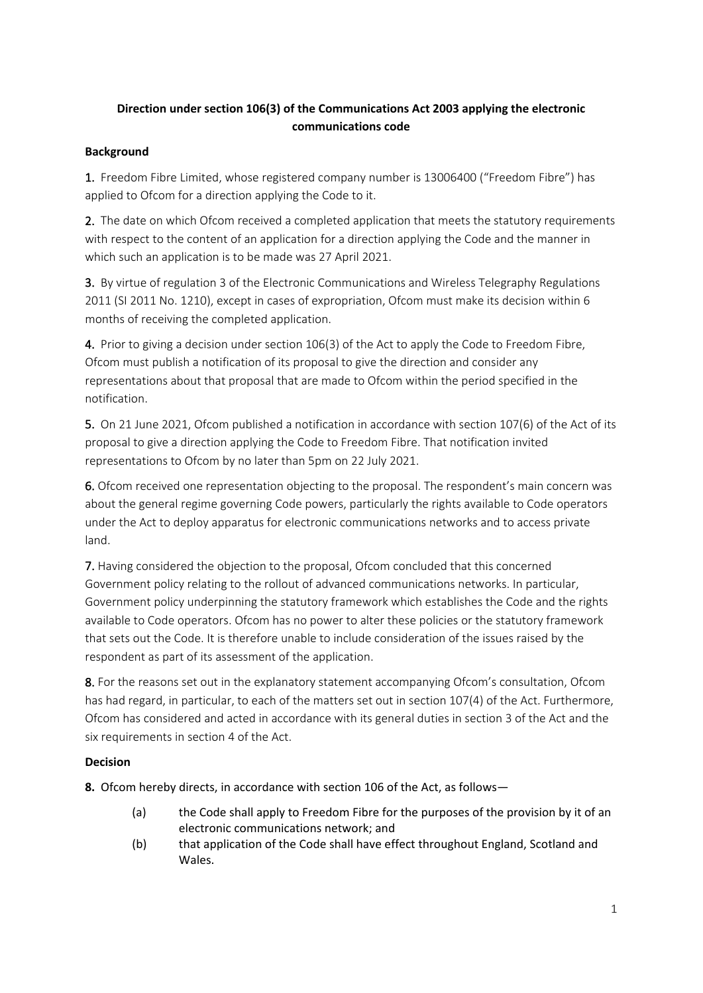# **Direction under section 106(3) of the Communications Act 2003 applying the electronic communications code**

## **Background**

1. Freedom Fibre Limited, whose registered company number is 13006400 ("Freedom Fibre") has applied to Ofcom for a direction applying the Code to it.

2. The date on which Ofcom received a completed application that meets the statutory requirements with respect to the content of an application for a direction applying the Code and the manner in which such an application is to be made was 27 April 2021.

3. By virtue of regulation 3 of the Electronic Communications and Wireless Telegraphy Regulations 2011 (SI 2011 No. 1210), except in cases of expropriation, Ofcom must make its decision within 6 months of receiving the completed application.

4. Prior to giving a decision under section 106(3) of the Act to apply the Code to Freedom Fibre, Ofcom must publish a notification of its proposal to give the direction and consider any representations about that proposal that are made to Ofcom within the period specified in the notification.

5. On 21 June 2021, Ofcom published a notification in accordance with section 107(6) of the Act of its proposal to give a direction applying the Code to Freedom Fibre. That notification invited representations to Ofcom by no later than 5pm on 22 July 2021.

6. Ofcom received one representation objecting to the proposal. The respondent's main concern was about the general regime governing Code powers, particularly the rights available to Code operators under the Act to deploy apparatus for electronic communications networks and to access private land.

7. Having considered the objection to the proposal, Ofcom concluded that this concerned Government policy relating to the rollout of advanced communications networks. In particular, Government policy underpinning the statutory framework which establishes the Code and the rights available to Code operators. Ofcom has no power to alter these policies or the statutory framework that sets out the Code. It is therefore unable to include consideration of the issues raised by the respondent as part of its assessment of the application.

8. For the reasons set out in the explanatory statement accompanying Ofcom's consultation, Ofcom has had regard, in particular, to each of the matters set out in section 107(4) of the Act. Furthermore, Ofcom has considered and acted in accordance with its general duties in section 3 of the Act and the six requirements in section 4 of the Act.

## **Decision**

**8.** Ofcom hereby directs, in accordance with section 106 of the Act, as follows—

- (a) the Code shall apply to Freedom Fibre for the purposes of the provision by it of an electronic communications network; and
- (b) that application of the Code shall have effect throughout England, Scotland and Wales.